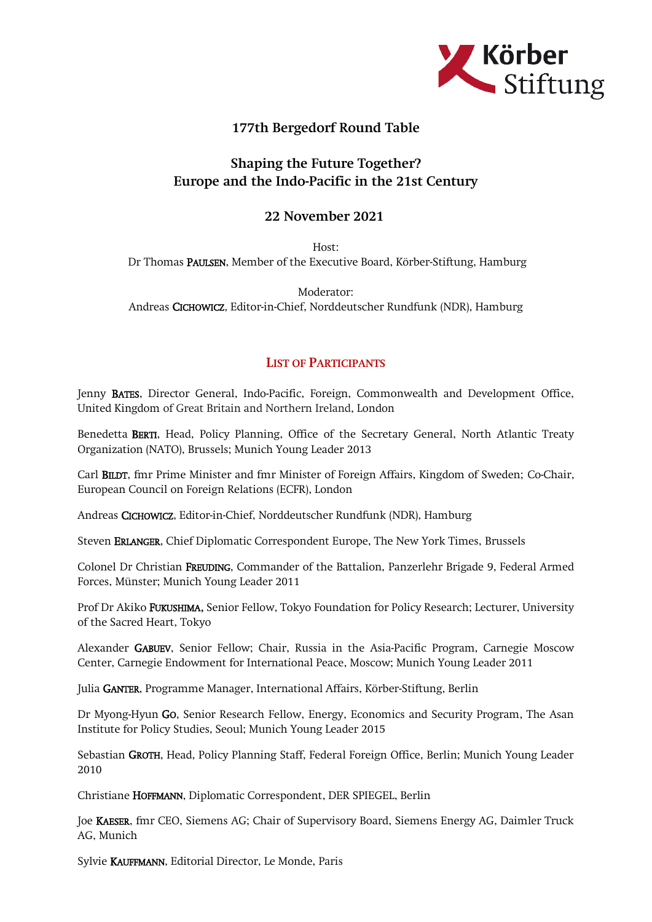

## 177th Bergedorf Round Table

## Shaping the Future Together? Europe and the Indo-Pacific in the 21st Century

## 22 November 2021

Host: Dr Thomas PAULSEN, Member of the Executive Board, Körber-Stiftung, Hamburg

Moderator: Andreas CICHOWICZ, Editor-in-Chief, Norddeutscher Rundfunk (NDR), Hamburg

## LIST OF PARTICIPANTS

Jenny BATES, Director General, Indo-Pacific, Foreign, Commonwealth and Development Office, United Kingdom of Great Britain and Northern Ireland, London

Benedetta BERTI, Head, Policy Planning, Office of the Secretary General, North Atlantic Treaty Organization (NATO), Brussels; Munich Young Leader 2013

Carl BILDT, fmr Prime Minister and fmr Minister of Foreign Affairs, Kingdom of Sweden; Co-Chair, European Council on Foreign Relations (ECFR), London

Andreas CICHOWICZ, Editor-in-Chief, Norddeutscher Rundfunk (NDR), Hamburg

Steven ERLANGER, Chief Diplomatic Correspondent Europe, The New York Times, Brussels

Colonel Dr Christian FREUDING, Commander of the Battalion, Panzerlehr Brigade 9, Federal Armed Forces, Münster; Munich Young Leader 2011

Prof Dr Akiko FUKUSHIMA, Senior Fellow, Tokyo Foundation for Policy Research; Lecturer, University of the Sacred Heart, Tokyo

Alexander GABUEV, Senior Fellow; Chair, Russia in the Asia-Pacific Program, Carnegie Moscow Center, Carnegie Endowment for International Peace, Moscow; Munich Young Leader 2011

Julia GANTER, Programme Manager, International Affairs, Körber-Stiftung, Berlin

Dr Myong-Hyun GO, Senior Research Fellow, Energy, Economics and Security Program, The Asan Institute for Policy Studies, Seoul; Munich Young Leader 2015

Sebastian GROTH, Head, Policy Planning Staff, Federal Foreign Office, Berlin; Munich Young Leader 2010

Christiane HOFFMANN, Diplomatic Correspondent, DER SPIEGEL, Berlin

Joe KAESER, fmr CEO, Siemens AG; Chair of Supervisory Board, Siemens Energy AG, Daimler Truck AG, Munich

Sylvie KAUFFMANN, Editorial Director, Le Monde, Paris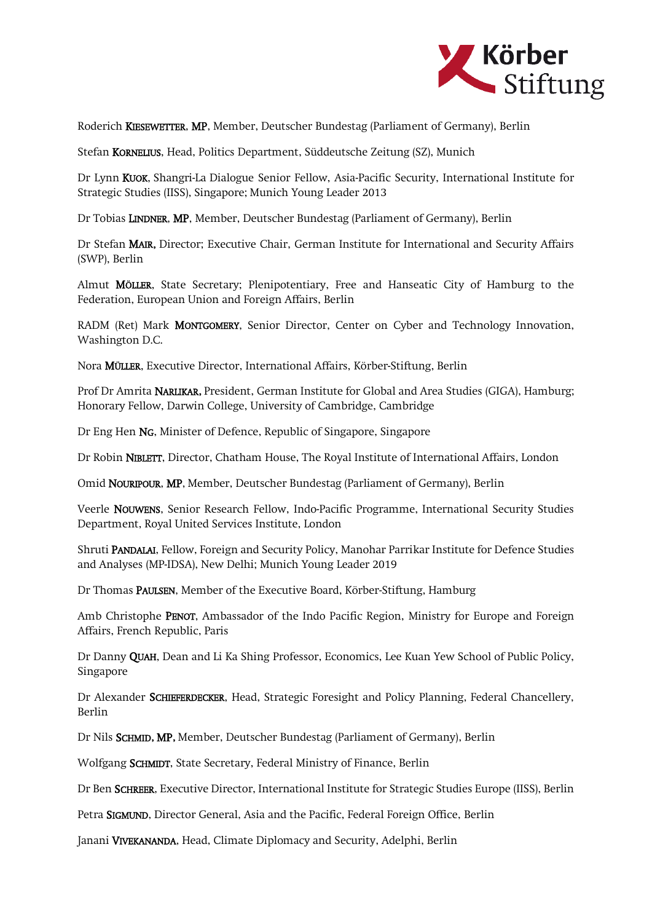

Roderich KIESEWETTER, MP, Member, Deutscher Bundestag (Parliament of Germany), Berlin

Stefan KORNELIUS, Head, Politics Department, Süddeutsche Zeitung (SZ), Munich

Dr Lynn KUOK, Shangri-La Dialogue Senior Fellow, Asia-Pacific Security, International Institute for Strategic Studies (IISS), Singapore; Munich Young Leader 2013

Dr Tobias LINDNER, MP, Member, Deutscher Bundestag (Parliament of Germany), Berlin

Dr Stefan MAIR, Director; Executive Chair, German Institute for International and Security Affairs (SWP), Berlin

Almut MÖLLER, State Secretary; Plenipotentiary, Free and Hanseatic City of Hamburg to the Federation, European Union and Foreign Affairs, Berlin

RADM (Ret) Mark MONTGOMERY, Senior Director, Center on Cyber and Technology Innovation, Washington D.C.

Nora MÜLLER, Executive Director, International Affairs, Körber-Stiftung, Berlin

Prof Dr Amrita NARLIKAR, President, German Institute for Global and Area Studies (GIGA), Hamburg; Honorary Fellow, Darwin College, University of Cambridge, Cambridge

Dr Eng Hen NG, Minister of Defence, Republic of Singapore, Singapore

Dr Robin NIBLETT, Director, Chatham House, The Royal Institute of International Affairs, London

Omid NOURIPOUR, MP, Member, Deutscher Bundestag (Parliament of Germany), Berlin

Veerle NOUWENS, Senior Research Fellow, Indo-Pacific Programme, International Security Studies Department, Royal United Services Institute, London

Shruti PANDALAI, Fellow, Foreign and Security Policy, Manohar Parrikar Institute for Defence Studies and Analyses (MP-IDSA), New Delhi; Munich Young Leader 2019

Dr Thomas PAULSEN, Member of the Executive Board, Körber-Stiftung, Hamburg

Amb Christophe PENOT, Ambassador of the Indo Pacific Region, Ministry for Europe and Foreign Affairs, French Republic, Paris

Dr Danny QUAH, Dean and Li Ka Shing Professor, Economics, Lee Kuan Yew School of Public Policy, Singapore

Dr Alexander SCHIEFERDECKER, Head, Strategic Foresight and Policy Planning, Federal Chancellery, Berlin

Dr Nils SCHMID, MP, Member, Deutscher Bundestag (Parliament of Germany), Berlin

Wolfgang SCHMIDT, State Secretary, Federal Ministry of Finance, Berlin

Dr Ben SCHREER, Executive Director, International Institute for Strategic Studies Europe (IISS), Berlin

Petra SIGMUND, Director General, Asia and the Pacific, Federal Foreign Office, Berlin

Janani VIVEKANANDA, Head, Climate Diplomacy and Security, Adelphi, Berlin